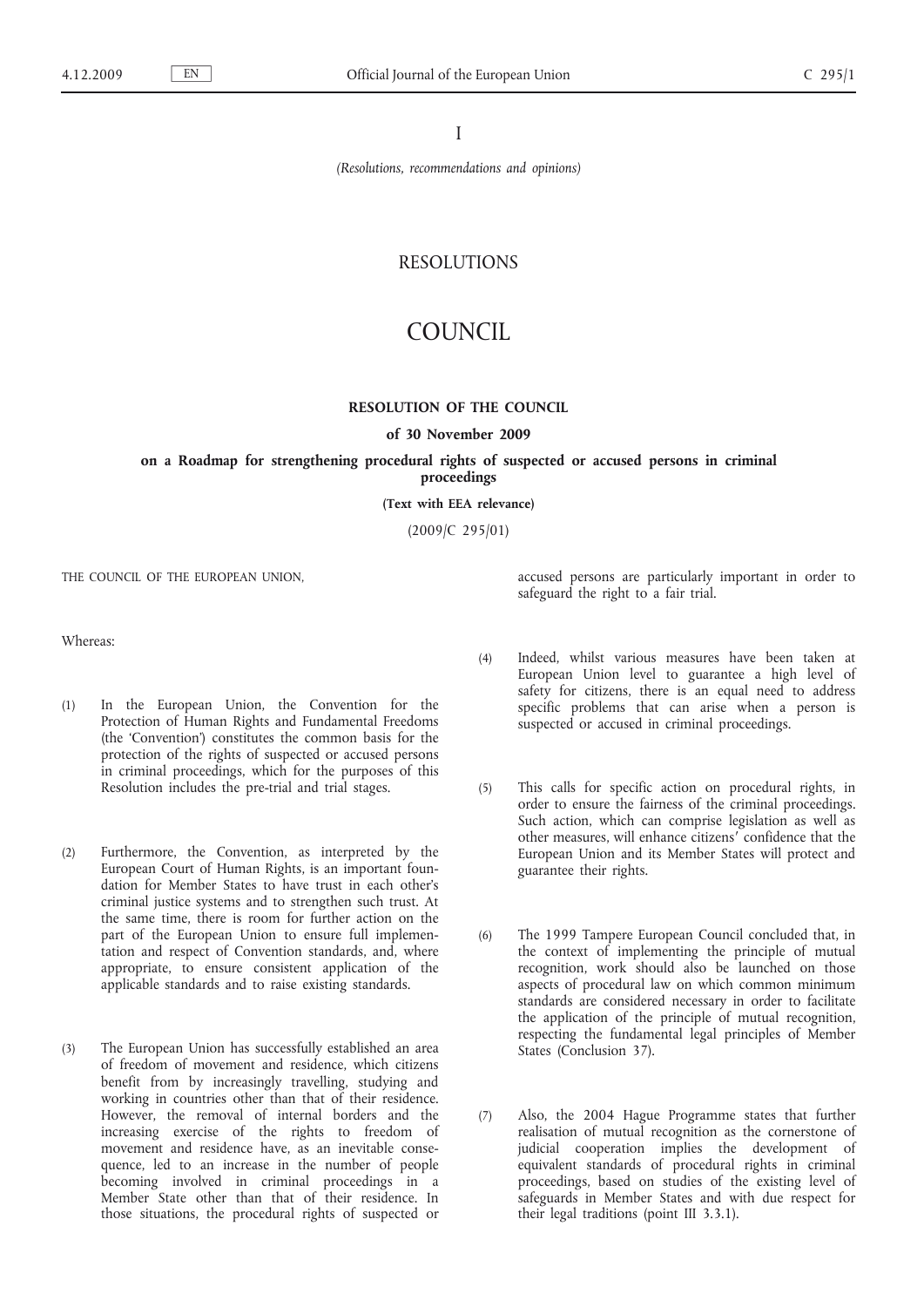I

*(Resolutions, recommendations and opinions)*

## RESOLUTIONS

# COUNCIL

### **RESOLUTION OF THE COUNCIL**

## **of 30 November 2009**

## **on a Roadmap for strengthening procedural rights of suspected or accused persons in criminal proceedings**

**(Text with EEA relevance)**

(2009/C 295/01)

THE COUNCIL OF THE EUROPEAN UNION,

Whereas:

- (1) In the European Union, the Convention for the Protection of Human Rights and Fundamental Freedoms (the 'Convention') constitutes the common basis for the protection of the rights of suspected or accused persons in criminal proceedings, which for the purposes of this Resolution includes the pre-trial and trial stages.
- (2) Furthermore, the Convention, as interpreted by the European Court of Human Rights, is an important foundation for Member States to have trust in each other's criminal justice systems and to strengthen such trust. At the same time, there is room for further action on the part of the European Union to ensure full implementation and respect of Convention standards, and, where appropriate, to ensure consistent application of the applicable standards and to raise existing standards.
- (3) The European Union has successfully established an area of freedom of movement and residence, which citizens benefit from by increasingly travelling, studying and working in countries other than that of their residence. However, the removal of internal borders and the increasing exercise of the rights to freedom of movement and residence have, as an inevitable consequence, led to an increase in the number of people becoming involved in criminal proceedings in a Member State other than that of their residence. In those situations, the procedural rights of suspected or

accused persons are particularly important in order to safeguard the right to a fair trial.

- (4) Indeed, whilst various measures have been taken at European Union level to guarantee a high level of safety for citizens, there is an equal need to address specific problems that can arise when a person is suspected or accused in criminal proceedings.
- (5) This calls for specific action on procedural rights, in order to ensure the fairness of the criminal proceedings. Such action, which can comprise legislation as well as other measures, will enhance citizens′ confidence that the European Union and its Member States will protect and guarantee their rights.
- (6) The 1999 Tampere European Council concluded that, in the context of implementing the principle of mutual recognition, work should also be launched on those aspects of procedural law on which common minimum standards are considered necessary in order to facilitate the application of the principle of mutual recognition, respecting the fundamental legal principles of Member States (Conclusion 37).
- (7) Also, the 2004 Hague Programme states that further realisation of mutual recognition as the cornerstone of judicial cooperation implies the development of equivalent standards of procedural rights in criminal proceedings, based on studies of the existing level of safeguards in Member States and with due respect for their legal traditions (point III 3.3.1).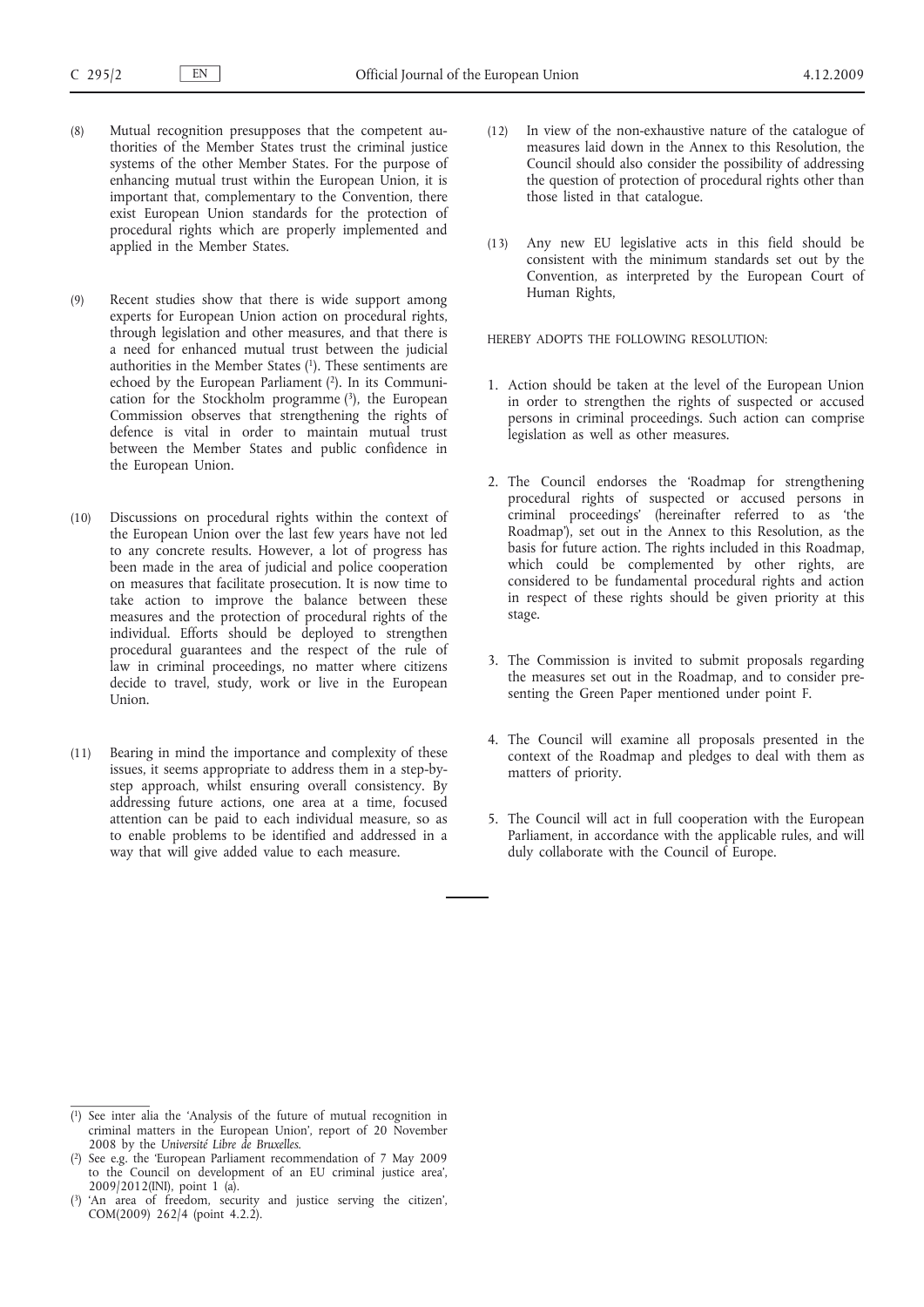- (8) Mutual recognition presupposes that the competent authorities of the Member States trust the criminal justice systems of the other Member States. For the purpose of enhancing mutual trust within the European Union, it is important that, complementary to the Convention, there exist European Union standards for the protection of procedural rights which are properly implemented and applied in the Member States.
- (9) Recent studies show that there is wide support among experts for European Union action on procedural rights, through legislation and other measures, and that there is a need for enhanced mutual trust between the judicial authorities in the Member States  $(1)$ . These sentiments are echoed by the European Parliament (2). In its Communication for the Stockholm programme (3), the European Commission observes that strengthening the rights of defence is vital in order to maintain mutual trust between the Member States and public confidence in the European Union.
- (10) Discussions on procedural rights within the context of the European Union over the last few years have not led to any concrete results. However, a lot of progress has been made in the area of judicial and police cooperation on measures that facilitate prosecution. It is now time to take action to improve the balance between these measures and the protection of procedural rights of the individual. Efforts should be deployed to strengthen procedural guarantees and the respect of the rule of law in criminal proceedings, no matter where citizens decide to travel, study, work or live in the European Union.
- (11) Bearing in mind the importance and complexity of these issues, it seems appropriate to address them in a step-bystep approach, whilst ensuring overall consistency. By addressing future actions, one area at a time, focused attention can be paid to each individual measure, so as to enable problems to be identified and addressed in a way that will give added value to each measure.
- (12) In view of the non-exhaustive nature of the catalogue of measures laid down in the Annex to this Resolution, the Council should also consider the possibility of addressing the question of protection of procedural rights other than those listed in that catalogue.
- (13) Any new EU legislative acts in this field should be consistent with the minimum standards set out by the Convention, as interpreted by the European Court of Human Rights,

HEREBY ADOPTS THE FOLLOWING RESOLUTION:

- 1. Action should be taken at the level of the European Union in order to strengthen the rights of suspected or accused persons in criminal proceedings. Such action can comprise legislation as well as other measures.
- 2. The Council endorses the 'Roadmap for strengthening procedural rights of suspected or accused persons in criminal proceedings' (hereinafter referred to as 'the Roadmap'), set out in the Annex to this Resolution, as the basis for future action. The rights included in this Roadmap, which could be complemented by other rights, are considered to be fundamental procedural rights and action in respect of these rights should be given priority at this stage.
- 3. The Commission is invited to submit proposals regarding the measures set out in the Roadmap, and to consider presenting the Green Paper mentioned under point F.
- 4. The Council will examine all proposals presented in the context of the Roadmap and pledges to deal with them as matters of priority.
- 5. The Council will act in full cooperation with the European Parliament, in accordance with the applicable rules, and will duly collaborate with the Council of Europe.

<sup>(</sup> 1) See inter alia the 'Analysis of the future of mutual recognition in criminal matters in the European Union', report of 20 November 2008 by the *Université Libre de Bruxelles*.

<sup>(</sup> 2) See e.g. the 'European Parliament recommendation of 7 May 2009 to the Council on development of an EU criminal justice area', 2009/2012(INI), point 1 (a).

<sup>(</sup> 'An area of freedom, security and justice serving the citizen', COM(2009) 262/4 (point 4.2.2).